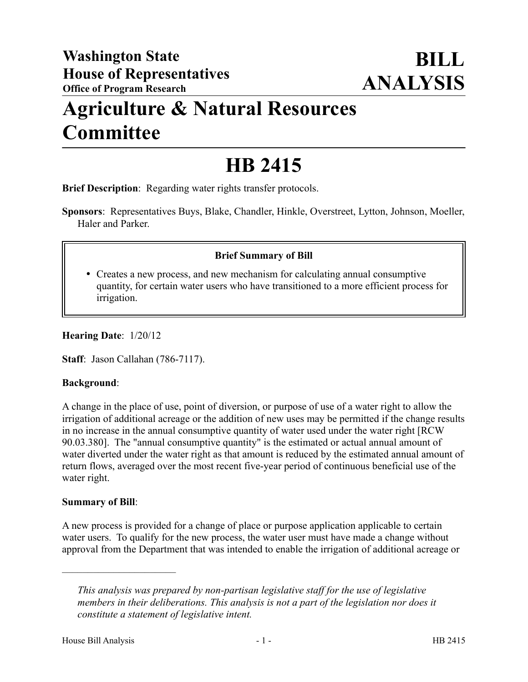## **Agriculture & Natural Resources Committee**

# **HB 2415**

**Brief Description**: Regarding water rights transfer protocols.

**Sponsors**: Representatives Buys, Blake, Chandler, Hinkle, Overstreet, Lytton, Johnson, Moeller, Haler and Parker.

## **Brief Summary of Bill**

 Creates a new process, and new mechanism for calculating annual consumptive quantity, for certain water users who have transitioned to a more efficient process for irrigation.

**Hearing Date**: 1/20/12

**Staff**: Jason Callahan (786-7117).

### **Background**:

A change in the place of use, point of diversion, or purpose of use of a water right to allow the irrigation of additional acreage or the addition of new uses may be permitted if the change results in no increase in the annual consumptive quantity of water used under the water right [RCW 90.03.380]. The "annual consumptive quantity" is the estimated or actual annual amount of water diverted under the water right as that amount is reduced by the estimated annual amount of return flows, averaged over the most recent five-year period of continuous beneficial use of the water right.

### **Summary of Bill**:

––––––––––––––––––––––

A new process is provided for a change of place or purpose application applicable to certain water users. To qualify for the new process, the water user must have made a change without approval from the Department that was intended to enable the irrigation of additional acreage or

*This analysis was prepared by non-partisan legislative staff for the use of legislative members in their deliberations. This analysis is not a part of the legislation nor does it constitute a statement of legislative intent.*